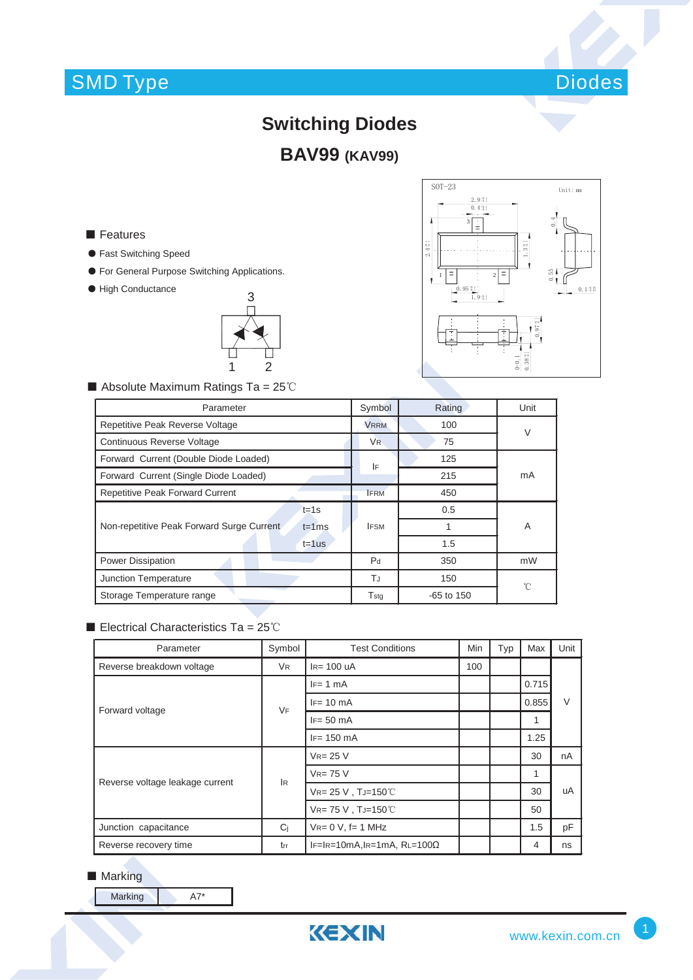## SMD Type



## **Switching Diodes**

**BAV99 (KAV99)**

- Features
- ƽ Fast Switching Speed
- ƽ For General Purpose Switching Applications.
- ƽ High Conductance





 $\blacksquare$  Absolute Maximum Ratings Ta = 25°C

| Parameter                                                           |                | Rating       | Unit   |  |
|---------------------------------------------------------------------|----------------|--------------|--------|--|
| Repetitive Peak Reverse Voltage                                     |                | 100          | $\vee$ |  |
| Continuous Reverse Voltage                                          | V <sub>R</sub> | 75           |        |  |
| Forward Current (Double Diode Loaded)                               |                | 125          | mA     |  |
| Forward Current (Single Diode Loaded)                               |                | 215          |        |  |
| <b>Repetitive Peak Forward Current</b>                              | <b>IFRM</b>    | 450          |        |  |
| $t = 1s$<br>Non-repetitive Peak Forward Surge Current<br>$t = 1$ ms | <b>IFSM</b>    | 0.5          |        |  |
|                                                                     |                |              | A      |  |
| $t = 1$ us                                                          |                | 1.5          |        |  |
| Power Dissipation                                                   | P <sub>d</sub> | 350          | mW     |  |
| Junction Temperature                                                | TJ             | 150          | °C     |  |
| Storage Temperature range                                           | $T_{\rm stg}$  | $-65$ to 150 |        |  |

## Electrical Characteristics Ta =  $25^{\circ}$ C

| Parameter                       | Symbol         | <b>Test Conditions</b>           | Min | Typ | Max   | Unit   |  |
|---------------------------------|----------------|----------------------------------|-----|-----|-------|--------|--|
| Reverse breakdown voltage       | <b>VR</b>      | $IR= 100$ uA                     | 100 |     |       | $\vee$ |  |
| Forward voltage                 | VF             | $IF = 1 mA$                      |     |     | 0.715 |        |  |
|                                 |                | $IF = 10 \text{ mA}$             |     |     | 0.855 |        |  |
|                                 |                | $IF = 50$ mA                     |     |     | 1     |        |  |
|                                 |                | $IF = 150$ mA                    |     |     | 1.25  |        |  |
| Reverse voltage leakage current | lR.            | $V_{R} = 25 V$                   |     |     | 30    | nA     |  |
|                                 |                | $V_{R=}$ 75 V                    |     |     | 1     |        |  |
|                                 |                | VR= 25 V, TJ=150°C               |     |     | 30    | uA     |  |
|                                 |                | VR= 75 V, TJ=150°C               |     |     | 50    |        |  |
| Junction capacitance            | C <sub>i</sub> | $V_{R} = 0 V$ , f= 1 MHz         |     |     | 1.5   | pF     |  |
| Reverse recovery time           | trr            | $IF=IR=10mA,IR=1mA,RL=100\Omega$ |     |     | 4     | ns     |  |

■ Marking

Marking A7\*